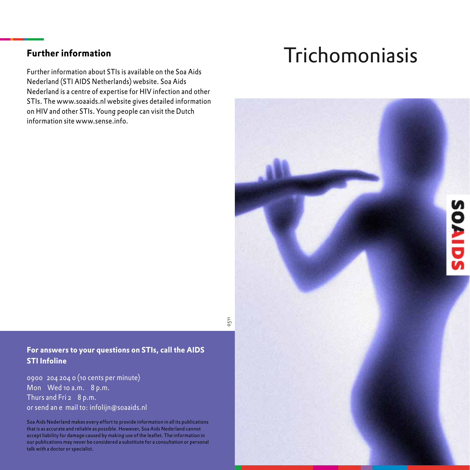Further information about STIs is available on the Soa Aids Nederland (STI AIDS Netherlands) website. Soa Aids Nederland is a centre of expertise for HIV infection and other STIs. The <www.soaaids.nl> website gives detailed information on HIV and other STIs. Young people can visit the Dutch information site [www.sense.info.](www.sense.info)

# Further information **Trichomoniasis**



## **For answers to your questions on STIs, call the AIDS STI Infoline**

 – 0900 204 204 0 (10 cents per minute) – – Mon Wed 10 a.m. 8 p.m. – Thurs and Fri 2 8 p.m. - or send an e mail to: [infolijn@soaaids.nl](mailto:infolijn@soaaids.nl)

Soa Aids Nederland makes every effort to provide information in all its publications that is as accurate and reliable as possible. However, Soa Aids Nederland cannot accept liability for damage caused by making use of the leaflet. The information in our publications may never be considered a substitute for a consultation or personal talk with a doctor or specialist.